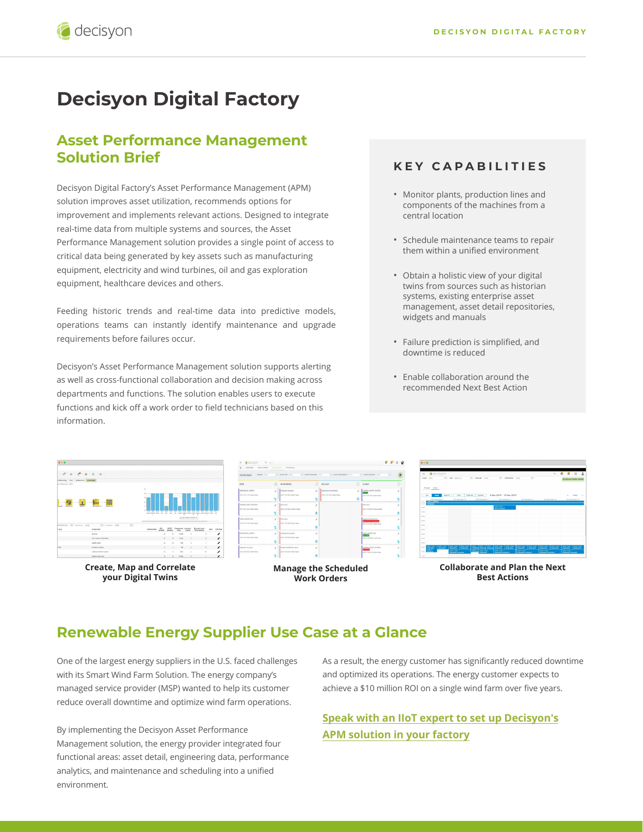# **Decisyon Digital Factory**

## **Asset Performance Management Solution Brief**

Decisyon Digital Factory's Asset Performance Management (APM) solution improves asset utilization, recommends options for improvement and implements relevant actions. Designed to integrate real-time data from multiple systems and sources, the Asset Performance Management solution provides a single point of access to critical data being generated by key assets such as manufacturing equipment, electricity and wind turbines, oil and gas exploration equipment, healthcare devices and others.

Feeding historic trends and real-time data into predictive models, operations teams can instantly identify maintenance and upgrade requirements before failures occur.

Decisyon's Asset Performance Management solution supports alerting as well as cross-functional collaboration and decision making across departments and functions. The solution enables users to execute functions and kick off a work order to field technicians based on this information.

#### **KEY CAPABILITIES**

- Monitor plants, production lines and components of the machines from a central location
- Schedule maintenance teams to repair them within a unified environment
- Obtain a holistic view of your digital twins from sources such as historian systems, existing enterprise asset management, asset detail repositories, widgets and manuals
- Failure prediction is simplified, and downtime is reduced
- Enable collaboration around the recommended Next Best Action



**Create, Map and Correlate your Digital Twins**



**Manage the Scheduled Work Orders**



**Collaborate and Plan the Next Best Actions**

## **Renewable Energy Supplier Use Case at a Glance**

One of the largest energy suppliers in the U.S. faced challenges with its Smart Wind Farm Solution. The energy company's managed service provider (MSP) wanted to help its customer reduce overall downtime and optimize wind farm operations.

By implementing the Decisyon Asset Performance Management solution, the energy provider integrated four functional areas: asset detail, engineering data, performance analytics, and maintenance and scheduling into a unified environment.

As a result, the energy customer has significantly reduced downtime and optimized its operations. The energy customer expects to achieve a \$10 million ROI on a single wind farm over five years.

**[Speak with an IIoT expert to set up Decisyon's](https://decisyon.com/contact-us) APM solution in your factory**